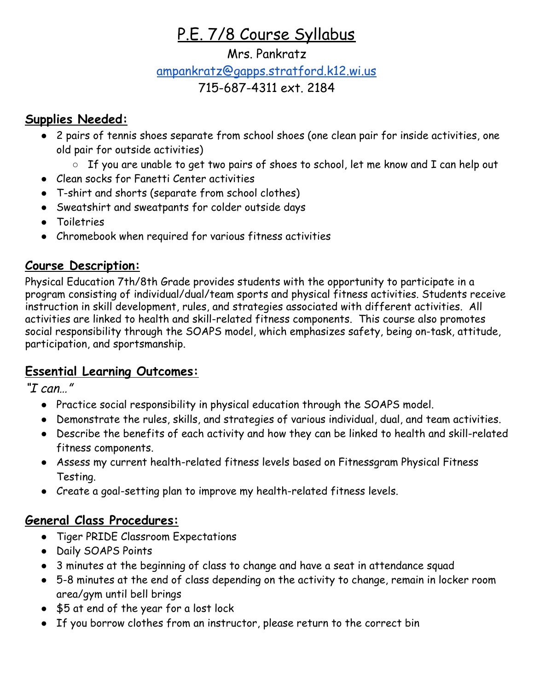# P.E. 7/8 Course Syllabus

### Mrs. Pankratz

# [ampankratz@gapps.stratford.k12.wi.us](mailto:ampankratz@gapps.stratford.k12.wi.us)

### 715-687-4311 ext. 2184

### **Supplies Needed:**

- 2 pairs of tennis shoes separate from school shoes (one clean pair for inside activities, one old pair for outside activities)
	- If you are unable to get two pairs of shoes to school, let me know and I can help out
- Clean socks for Fanetti Center activities
- T-shirt and shorts (separate from school clothes)
- Sweatshirt and sweatpants for colder outside days
- Toiletries
- Chromebook when required for various fitness activities

## **Course Description:**

Physical Education 7th/8th Grade provides students with the opportunity to participate in a program consisting of individual/dual/team sports and physical fitness activities. Students receive instruction in skill development, rules, and strategies associated with different activities. All activities are linked to health and skill-related fitness components. This course also promotes social responsibility through the SOAPS model, which emphasizes safety, being on-task, attitude, participation, and sportsmanship.

### **Essential Learning Outcomes:**

"I can…"

- Practice social responsibility in physical education through the SOAPS model.
- Demonstrate the rules, skills, and strategies of various individual, dual, and team activities.
- Describe the benefits of each activity and how they can be linked to health and skill-related fitness components.
- Assess my current health-related fitness levels based on Fitnessgram Physical Fitness Testing.
- Create a goal-setting plan to improve my health-related fitness levels.

## **General Class Procedures:**

- Tiger PRIDE Classroom Expectations
- Daily SOAPS Points
- 3 minutes at the beginning of class to change and have a seat in attendance squad
- 5-8 minutes at the end of class depending on the activity to change, remain in locker room area/gym until bell brings
- \$5 at end of the year for a lost lock
- If you borrow clothes from an instructor, please return to the correct bin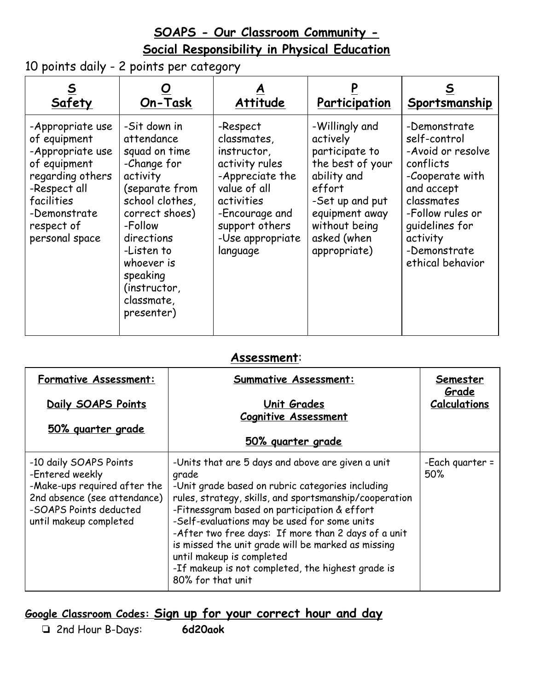## **SOAPS - Our Classroom Community - Social Responsibility in Physical Education**

10 points daily - 2 points per category

| Safety                                                                                                                                                                 | On-Task                                                                                                                                                                                                                                    | Attitude                                                                                                                                                                      | Participation                                                                                                                                                                  | Sportsmanship                                                                                                                                                                                       |
|------------------------------------------------------------------------------------------------------------------------------------------------------------------------|--------------------------------------------------------------------------------------------------------------------------------------------------------------------------------------------------------------------------------------------|-------------------------------------------------------------------------------------------------------------------------------------------------------------------------------|--------------------------------------------------------------------------------------------------------------------------------------------------------------------------------|-----------------------------------------------------------------------------------------------------------------------------------------------------------------------------------------------------|
| -Appropriate use<br>of equipment<br>-Appropriate use<br>of equipment<br>regarding others<br>-Respect all<br>facilities<br>-Demonstrate<br>respect of<br>personal space | -Sit down in<br>attendance<br>squad on time<br>-Change for<br>activity<br>(separate from<br>school clothes,<br>correct shoes)<br>-Follow<br>directions<br>-Listen to<br>whoever is<br>speaking<br>(instructor,<br>classmate,<br>presenter) | -Respect<br>classmates,<br>instructor,<br>activity rules<br>-Appreciate the<br>value of all<br>activities<br>-Encourage and<br>support others<br>-Use appropriate<br>language | -Willingly and<br>actively<br>participate to<br>the best of your<br>ability and<br>effort<br>-Set up and put<br>equipment away<br>without being<br>asked (when<br>appropriate) | -Demonstrate<br>self-control<br>-Avoid or resolve<br>conflicts<br>-Cooperate with<br>and accept<br>classmates<br>-Follow rules or<br>quidelines for<br>activity<br>-Demonstrate<br>ethical behavior |

#### **Assessment**:

| <b>Formative Assessment:</b>                                                                                                                                  | <b>Summative Assessment:</b>                                                                                                                                                                                                                                                                                                                                                                                                                                                                 | Semester<br>Grade      |
|---------------------------------------------------------------------------------------------------------------------------------------------------------------|----------------------------------------------------------------------------------------------------------------------------------------------------------------------------------------------------------------------------------------------------------------------------------------------------------------------------------------------------------------------------------------------------------------------------------------------------------------------------------------------|------------------------|
| Daily SOAPS Points                                                                                                                                            | <b>Unit Grades</b>                                                                                                                                                                                                                                                                                                                                                                                                                                                                           | <b>Calculations</b>    |
| 50% guarter grade                                                                                                                                             | <b>Cognitive Assessment</b><br><u>50% guarter grade</u>                                                                                                                                                                                                                                                                                                                                                                                                                                      |                        |
|                                                                                                                                                               |                                                                                                                                                                                                                                                                                                                                                                                                                                                                                              |                        |
| -10 daily SOAPS Points<br>-Entered weekly<br>-Make-ups required after the<br>2nd absence (see attendance)<br>-SOAPS Points deducted<br>until makeup completed | -Units that are 5 days and above are given a unit<br>grade<br>-Unit grade based on rubric categories including<br>rules, strategy, skills, and sportsmanship/cooperation<br>-Fitnessgram based on participation & effort<br>-Self-evaluations may be used for some units<br>-After two free days: If more than 2 days of a unit<br>is missed the unit grade will be marked as missing<br>until makeup is completed<br>-If makeup is not completed, the highest grade is<br>80% for that unit | -Each guarter =<br>50% |

## **Google Classroom Codes: Sign up for your correct hour and day**

❏ 2nd Hour B-Days: **6d20aok**